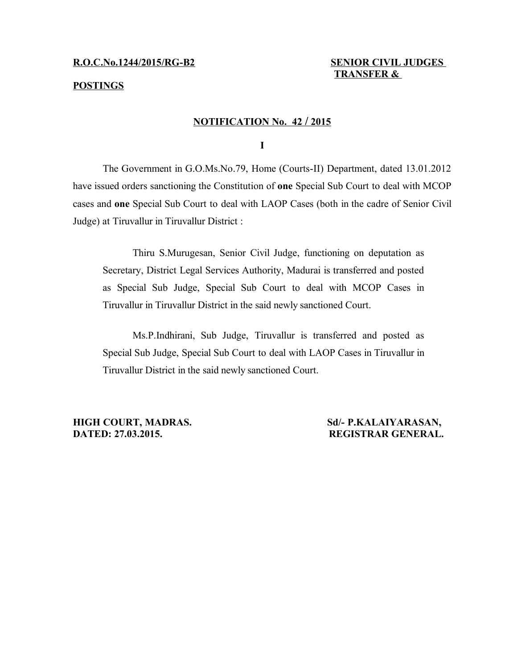# **POSTINGS**

# **TRANSFER &**

## **NOTIFICATION No. 42 / 2015**

**I**

The Government in G.O.Ms.No.79, Home (Courts-II) Department, dated 13.01.2012 have issued orders sanctioning the Constitution of **one** Special Sub Court to deal with MCOP cases and **one** Special Sub Court to deal with LAOP Cases (both in the cadre of Senior Civil Judge) at Tiruvallur in Tiruvallur District :

Thiru S.Murugesan, Senior Civil Judge, functioning on deputation as Secretary, District Legal Services Authority, Madurai is transferred and posted as Special Sub Judge, Special Sub Court to deal with MCOP Cases in Tiruvallur in Tiruvallur District in the said newly sanctioned Court.

Ms.P.Indhirani, Sub Judge, Tiruvallur is transferred and posted as Special Sub Judge, Special Sub Court to deal with LAOP Cases in Tiruvallur in Tiruvallur District in the said newly sanctioned Court.

**HIGH COURT, MADRAS. Sd/- P.KALAIYARASAN, DATED: 27.03.2015. REGISTRAR GENERAL.**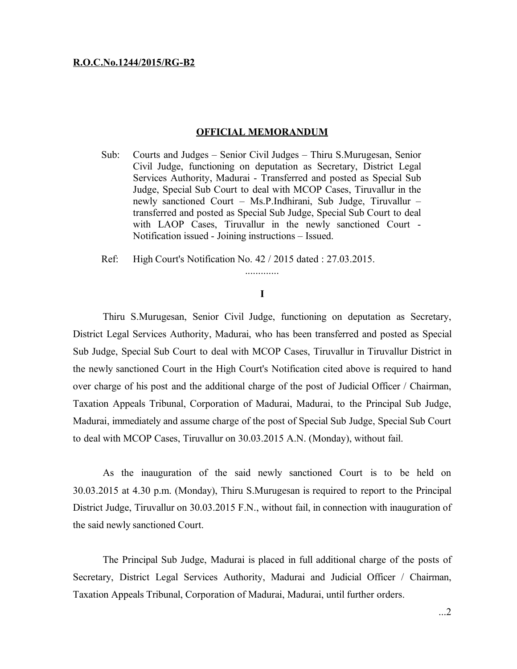#### **R.O.C.No.1244/2015/RG-B2**

### **OFFICIAL MEMORANDUM**

- Sub: Courts and Judges Senior Civil Judges Thiru S.Murugesan, Senior Civil Judge, functioning on deputation as Secretary, District Legal Services Authority, Madurai - Transferred and posted as Special Sub Judge, Special Sub Court to deal with MCOP Cases, Tiruvallur in the newly sanctioned Court – Ms.P.Indhirani, Sub Judge, Tiruvallur – transferred and posted as Special Sub Judge, Special Sub Court to deal with LAOP Cases, Tiruvallur in the newly sanctioned Court - Notification issued - Joining instructions – Issued.
- Ref: High Court's Notification No. 42 / 2015 dated : 27.03.2015.

# **I**

.............

Thiru S.Murugesan, Senior Civil Judge, functioning on deputation as Secretary, District Legal Services Authority, Madurai, who has been transferred and posted as Special Sub Judge, Special Sub Court to deal with MCOP Cases, Tiruvallur in Tiruvallur District in the newly sanctioned Court in the High Court's Notification cited above is required to hand over charge of his post and the additional charge of the post of Judicial Officer / Chairman, Taxation Appeals Tribunal, Corporation of Madurai, Madurai, to the Principal Sub Judge, Madurai, immediately and assume charge of the post of Special Sub Judge, Special Sub Court to deal with MCOP Cases, Tiruvallur on 30.03.2015 A.N. (Monday), without fail.

As the inauguration of the said newly sanctioned Court is to be held on 30.03.2015 at 4.30 p.m. (Monday), Thiru S.Murugesan is required to report to the Principal District Judge, Tiruvallur on 30.03.2015 F.N., without fail, in connection with inauguration of the said newly sanctioned Court.

The Principal Sub Judge, Madurai is placed in full additional charge of the posts of Secretary, District Legal Services Authority, Madurai and Judicial Officer / Chairman, Taxation Appeals Tribunal, Corporation of Madurai, Madurai, until further orders.